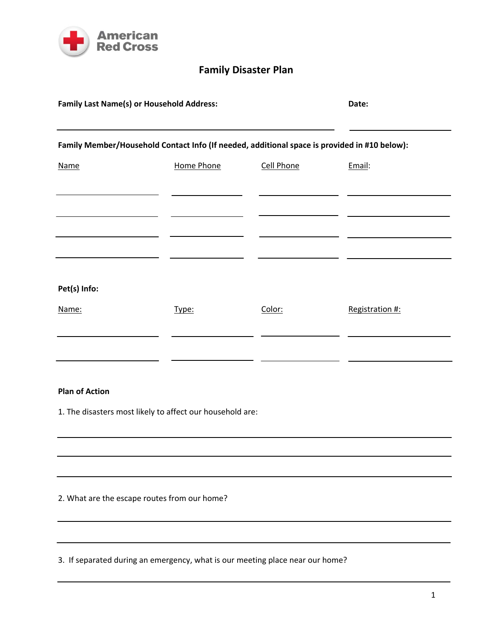

## **Family Disaster Plan**

| <b>Family Last Name(s) or Household Address:</b>                                             |            |                   | Date:           |  |  |  |
|----------------------------------------------------------------------------------------------|------------|-------------------|-----------------|--|--|--|
| Family Member/Household Contact Info (If needed, additional space is provided in #10 below): |            |                   |                 |  |  |  |
| <b>Name</b>                                                                                  | Home Phone | <b>Cell Phone</b> | Email:          |  |  |  |
|                                                                                              |            |                   |                 |  |  |  |
|                                                                                              |            |                   |                 |  |  |  |
|                                                                                              |            |                   |                 |  |  |  |
|                                                                                              |            |                   |                 |  |  |  |
| Pet(s) Info:                                                                                 |            |                   |                 |  |  |  |
| Name:                                                                                        | Type:      | Color:            | Registration #: |  |  |  |
|                                                                                              |            |                   |                 |  |  |  |
|                                                                                              |            |                   |                 |  |  |  |

## **Plan of Action**

1. The disasters most likely to affect our household are:

2. What are the escape routes from our home?

3. If separated during an emergency, what is our meeting place near our home?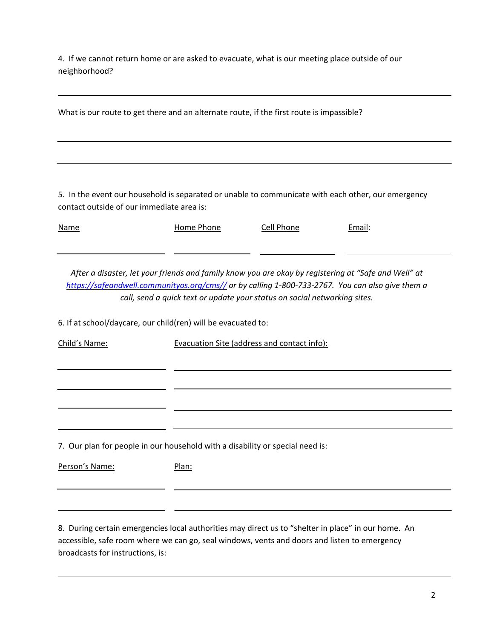4. If we cannot return home or are asked to evacuate, what is our meeting place outside of our neighborhood?

| What is our route to get there and an alternate route, if the first route is impassible?           |  |  |  |  |
|----------------------------------------------------------------------------------------------------|--|--|--|--|
|                                                                                                    |  |  |  |  |
| 5. In the event our household is separated or unable to communicate with each other, our emergency |  |  |  |  |

| <b>Name</b> | Home Phone | Cell Phone | Email: |
|-------------|------------|------------|--------|
|             |            |            |        |

After a disaster, let your friends and family know you are okay by registering at "Safe and Well" at *<https://safeandwell.communityos.org/cms//> or by calling 1‐800‐733‐2767. You can also give them a call, send a quick text or update your status on social networking sites.*

6. If at school/daycare, our child(ren) will be evacuated to:

contact outside of our immediate area is:

| Child's Name:                                                                 | <b>Evacuation Site (address and contact info):</b> |  |  |  |  |
|-------------------------------------------------------------------------------|----------------------------------------------------|--|--|--|--|
|                                                                               |                                                    |  |  |  |  |
|                                                                               |                                                    |  |  |  |  |
|                                                                               |                                                    |  |  |  |  |
| 7. Our plan for people in our household with a disability or special need is: |                                                    |  |  |  |  |
| Person's Name:                                                                | Plan:                                              |  |  |  |  |

8. During certain emergencies local authorities may direct us to "shelter in place" in our home. An accessible, safe room where we can go, seal windows, vents and doors and listen to emergency broadcasts for instructions, is: